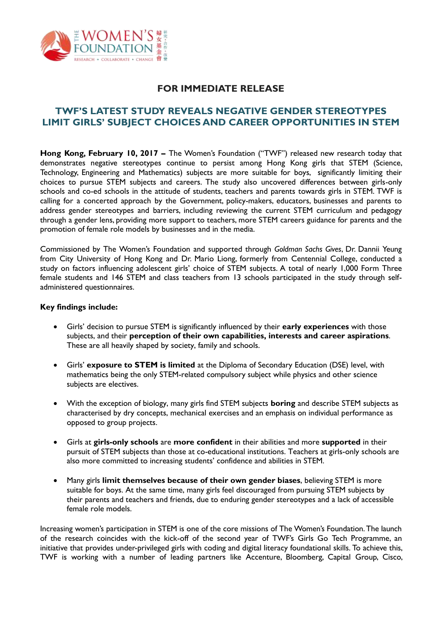

# **FOR IMMEDIATE RELEASE**

# **TWF'S LATEST STUDY REVEALS NEGATIVE GENDER STEREOTYPES LIMIT GIRLS' SUBJECT CHOICES AND CAREER OPPORTUNITIES IN STEM**

**Hong Kong, February 10, 2017 –** The Women's Foundation ("TWF") released new research today that demonstrates negative stereotypes continue to persist among Hong Kong girls that STEM (Science, Technology, Engineering and Mathematics) subjects are more suitable for boys, significantly limiting their choices to pursue STEM subjects and careers. The study also uncovered differences between girls-only schools and co-ed schools in the attitude of students, teachers and parents towards girls in STEM. TWF is calling for a concerted approach by the Government, policy-makers, educators, businesses and parents to address gender stereotypes and barriers, including reviewing the current STEM curriculum and pedagogy through a gender lens, providing more support to teachers, more STEM careers guidance for parents and the promotion of female role models by businesses and in the media.

Commissioned by The Women's Foundation and supported through *Goldman Sachs Gives*, Dr. Dannii Yeung from City University of Hong Kong and Dr. Mario Liong, formerly from Centennial College, conducted a study on factors influencing adolescent girls' choice of STEM subjects. A total of nearly 1,000 Form Three female students and 146 STEM and class teachers from 13 schools participated in the study through selfadministered questionnaires.

### **Key findings include:**

- Girls' decision to pursue STEM is significantly influenced by their **early experiences** with those subjects, and their **perception of their own capabilities, interests and career aspirations**. These are all heavily shaped by society, family and schools.
- Girls' **exposure to STEM is limited** at the Diploma of Secondary Education (DSE) level, with mathematics being the only STEM-related compulsory subject while physics and other science subjects are electives.
- With the exception of biology, many girls find STEM subjects **boring** and describe STEM subjects as characterised by dry concepts, mechanical exercises and an emphasis on individual performance as opposed to group projects.
- Girls at **girls-only schools** are **more confident** in their abilities and more **supported** in their pursuit of STEM subjects than those at co-educational institutions. Teachers at girls-only schools are also more committed to increasing students' confidence and abilities in STEM.
- Many girls **limit themselves because of their own gender biases**, believing STEM is more suitable for boys. At the same time, many girls feel discouraged from pursuing STEM subjects by their parents and teachers and friends, due to enduring gender stereotypes and a lack of accessible female role models.

Increasing women's participation in STEM is one of the core missions of The Women's Foundation. The launch of the research coincides with the kick-off of the second year of TWF's Girls Go Tech Programme, an initiative that provides under-privileged girls with coding and digital literacy foundational skills. To achieve this, TWF is working with a number of leading partners like Accenture, Bloomberg, Capital Group, Cisco,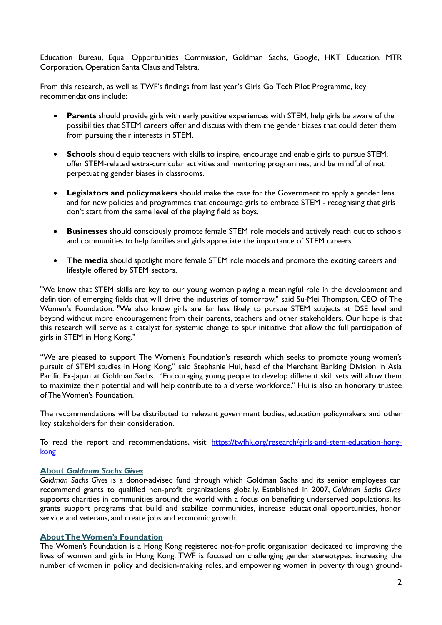Education Bureau, Equal Opportunities Commission, Goldman Sachs, Google, HKT Education, MTR Corporation, Operation Santa Claus and Telstra.

From this research, as well as TWF's findings from last year's Girls Go Tech Pilot Programme, key recommendations include:

- **Parents** should provide girls with early positive experiences with STEM, help girls be aware of the possibilities that STEM careers offer and discuss with them the gender biases that could deter them from pursuing their interests in STEM.
- **Schools** should equip teachers with skills to inspire, encourage and enable girls to pursue STEM, offer STEM-related extra-curricular activities and mentoring programmes, and be mindful of not perpetuating gender biases in classrooms.
- **Legislators and policymakers** should make the case for the Government to apply a gender lens and for new policies and programmes that encourage girls to embrace STEM - recognising that girls don't start from the same level of the playing field as boys.
- **Businesses** should consciously promote female STEM role models and actively reach out to schools and communities to help families and girls appreciate the importance of STEM careers.
- **The media** should spotlight more female STEM role models and promote the exciting careers and lifestyle offered by STEM sectors.

"We know that STEM skills are key to our young women playing a meaningful role in the development and definition of emerging fields that will drive the industries of tomorrow," said Su-Mei Thompson, CEO of The Women's Foundation. "We also know girls are far less likely to pursue STEM subjects at DSE level and beyond without more encouragement from their parents, teachers and other stakeholders. Our hope is that this research will serve as a catalyst for systemic change to spur initiative that allow the full participation of girls in STEM in Hong Kong."

"We are pleased to support The Women's Foundation's research which seeks to promote young women's pursuit of STEM studies in Hong Kong," said Stephanie Hui, head of the Merchant Banking Division in Asia Pacific Ex-Japan at Goldman Sachs. "Encouraging young people to develop different skill sets will allow them to maximize their potential and will help contribute to a diverse workforce." Hui is also an honorary trustee of The Women's Foundation.

The recommendations will be distributed to relevant government bodies, education policymakers and other key stakeholders for their consideration.

To read the report and recommendations, visit: [https://twfhk.org/research/girls-and-stem-education-hong](https://twfhk.org/research/girls-and-stem-education-hong-kong)[kong](https://twfhk.org/research/girls-and-stem-education-hong-kong)

#### **About** *Goldman Sachs Gives*

*Goldman Sachs Gives* is a donor-advised fund through which Goldman Sachs and its senior employees can recommend grants to qualified non-profit organizations globally. Established in 2007, *Goldman Sachs Gives*  supports charities in communities around the world with a focus on benefiting underserved populations. Its grants support programs that build and stabilize communities, increase educational opportunities, honor service and veterans, and create jobs and economic growth.

#### **About The Women's Foundation**

The Women's Foundation is a Hong Kong registered not-for-profit organisation dedicated to improving the lives of women and girls in Hong Kong. TWF is focused on challenging gender stereotypes, increasing the number of women in policy and decision-making roles, and empowering women in poverty through ground-